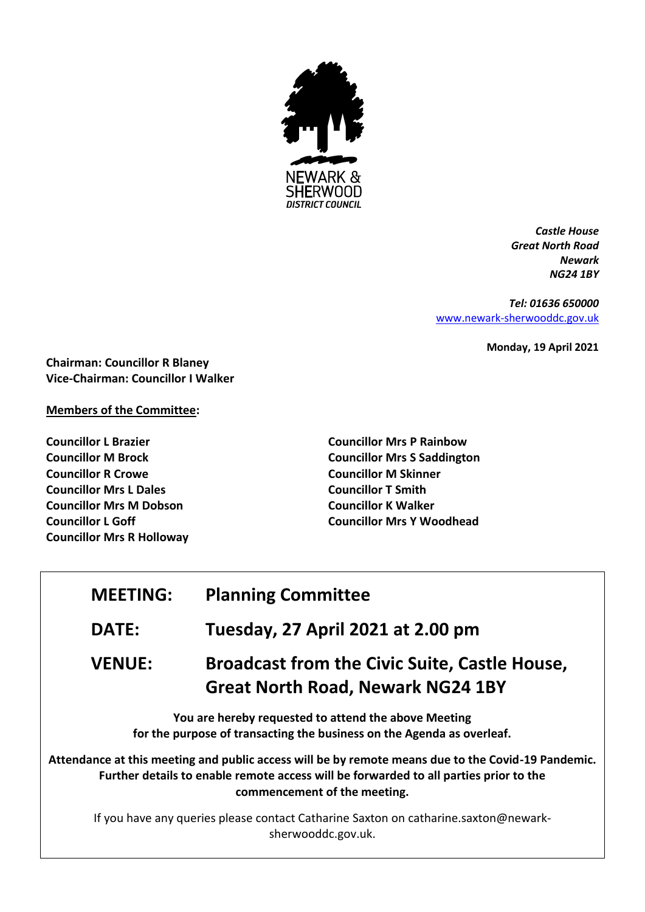

*Castle House Great North Road Newark NG24 1BY*

*Tel: 01636 650000* [www.newark-sherwooddc.gov.uk](http://www.newark-sherwooddc.gov.uk/)

**Monday, 19 April 2021**

**Chairman: Councillor R Blaney Vice-Chairman: Councillor I Walker**

# **Members of the Committee:**

**Councillor L Brazier Councillor M Brock Councillor R Crowe Councillor Mrs L Dales Councillor Mrs M Dobson Councillor L Goff Councillor Mrs R Holloway** **Councillor Mrs P Rainbow Councillor Mrs S Saddington Councillor M Skinner Councillor T Smith Councillor K Walker Councillor Mrs Y Woodhead**

| <b>MEETING:</b>                                                                                                                | <b>Planning Committee</b>                                                                                                                                                                                                   |  |
|--------------------------------------------------------------------------------------------------------------------------------|-----------------------------------------------------------------------------------------------------------------------------------------------------------------------------------------------------------------------------|--|
| <b>DATE:</b>                                                                                                                   | Tuesday, 27 April 2021 at 2.00 pm                                                                                                                                                                                           |  |
| <b>VENUE:</b>                                                                                                                  | <b>Broadcast from the Civic Suite, Castle House,</b><br><b>Great North Road, Newark NG24 1BY</b>                                                                                                                            |  |
| You are hereby requested to attend the above Meeting<br>for the purpose of transacting the business on the Agenda as overleaf. |                                                                                                                                                                                                                             |  |
|                                                                                                                                | Attendance at this meeting and public access will be by remote means due to the Covid-19 Pandemic.<br>Further details to enable remote access will be forwarded to all parties prior to the<br>commencement of the meeting. |  |
|                                                                                                                                | If you have any queries please contact Catharine Saxton on catharine.saxton@newark-                                                                                                                                         |  |

sherwooddc.gov.uk.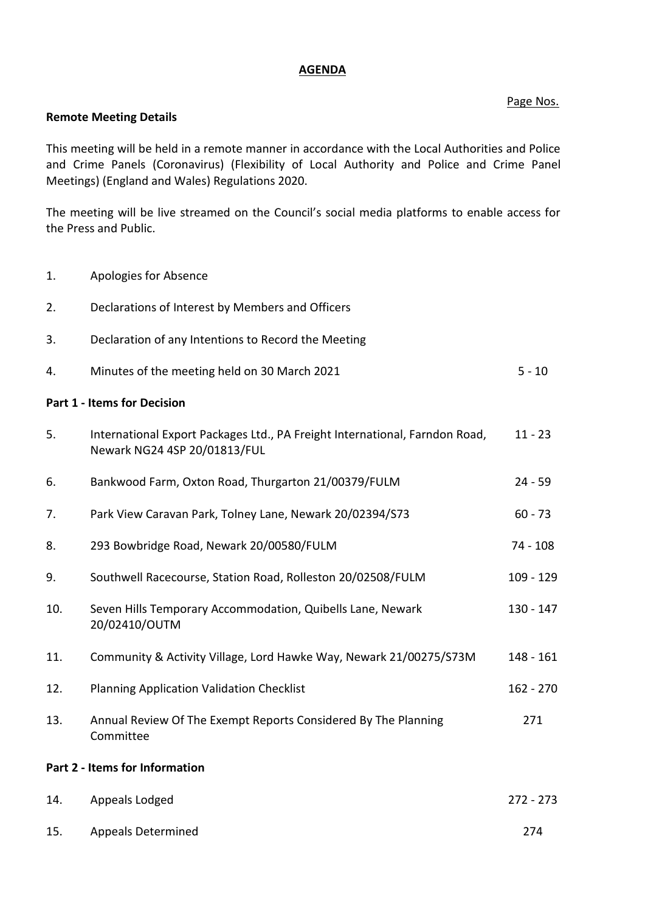### **AGENDA**

### Page Nos.

#### **Remote Meeting Details**

This meeting will be held in a remote manner in accordance with the Local Authorities and Police and Crime Panels (Coronavirus) (Flexibility of Local Authority and Police and Crime Panel Meetings) (England and Wales) Regulations 2020.

The meeting will be live streamed on the Council's social media platforms to enable access for the Press and Public.

- 1. Apologies for Absence
- 2. Declarations of Interest by Members and Officers
- 3. Declaration of any Intentions to Record the Meeting
- 4. Minutes of the meeting held on 30 March 2021 5 10

# **Part 1 - Items for Decision**

| 5.                             | International Export Packages Ltd., PA Freight International, Farndon Road,<br>Newark NG24 4SP 20/01813/FUL | $11 - 23$   |  |
|--------------------------------|-------------------------------------------------------------------------------------------------------------|-------------|--|
| 6.                             | Bankwood Farm, Oxton Road, Thurgarton 21/00379/FULM                                                         | $24 - 59$   |  |
| 7.                             | Park View Caravan Park, Tolney Lane, Newark 20/02394/S73                                                    | $60 - 73$   |  |
| 8.                             | 293 Bowbridge Road, Newark 20/00580/FULM                                                                    | 74 - 108    |  |
| 9.                             | Southwell Racecourse, Station Road, Rolleston 20/02508/FULM                                                 | 109 - 129   |  |
| 10.                            | Seven Hills Temporary Accommodation, Quibells Lane, Newark<br>20/02410/OUTM                                 | 130 - 147   |  |
| 11.                            | Community & Activity Village, Lord Hawke Way, Newark 21/00275/S73M                                          | $148 - 161$ |  |
| 12.                            | <b>Planning Application Validation Checklist</b>                                                            | $162 - 270$ |  |
| 13.                            | Annual Review Of The Exempt Reports Considered By The Planning<br>Committee                                 | 271         |  |
| Part 2 - Items for Information |                                                                                                             |             |  |
| 14.                            | Appeals Lodged                                                                                              | $272 - 273$ |  |

15. Appeals Determined 274